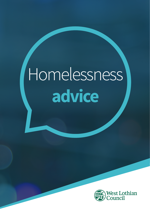# Homelessness **advice**

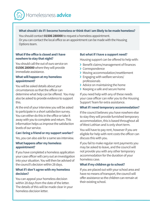## Homelessness **advice**

#### **What should I do if I become homeless or think that I am likely to be made homeless?**

You should contact **01506 280000** to request a homeless appointment. Or you can contact the local office so an appointment can be made with the Housing Options team.

#### **What if the office is closed and I have nowhere to stay that night?**

You should call the out of ours service on **01506 280000** where they will provide immediate assistance.

#### **What will happen at my homeless appointment?**

You will be asked details about your circumstances so that the officer can determine what help can be offered. You may also be asked to provide evidence to support this.

At the end of your interview you will be asked to participate in a short satisfaction survey. You can either do this in the office or take it away with you to complete and return. This information helps us improve the satisfaction levels of our service.

#### **Can I bring a friend or my support worker?**

Yes, you can also ask for a same sex interview.

#### **What happens after my homeless appointment?**

If you have completed a homeless application your case officer will carry out an investigation into your situation. You will then be advised of the council's decision within 28 days.

#### **What if I don't agree with my homeless decision?**

You can appeal your homeless decision within 28 days from the date of the letter. The details of this will be made clear in your homeless decision letter.

#### **But what if I have a support need?**

Housing support can be offered to help with:

- > Benefit claims/management of finances
- Correspondence
- > Moving accommodation/resettlement
- > Engaging with welfare services/ professionals
- > Advice on maintaining the home
- $\blacktriangleright$  Keeping a safe and secure home

If you need help with any of these needs your case officer can refer you to the Housing Support Team for extra assistance.

#### **What if I need temporary accommodation?**

If the council believes you have nowhere else to stay they will provide furnished temporary accommodation, this is based throughout all of West Lothian and is only short term.

You will have to pay rent, however if you are eligible for help with rent costs the officer can discuss this with you.

If you fail to make regular rent payments you may be asked to leave, and the council will not provide you with any other temporary accommodation for the duration of your homeless case.

#### **What if my children go to school?**

If you are placed out with your school area and have no means of transport, the council will offer assistance so the children can remain at their existing school.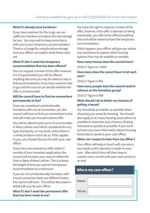#### **What if I already have furniture?**

If you have nowhere for this to go, we can uplift your furniture and place this into storage for you. You may wish to keep some items with you in your temporary accommodation. There is a charge for using furniture storage and your officer can explain what these costs are.

#### **What if I don't want the temporary accommodation that has been offered?**

You can request a review of this offer however it is not guaranteed you will be offered anything else and you may be asked to stay in that accommodation if you have nowhere else to go until the council can decide whether the offer is unreasonable.

#### **Will the council have to find me somewhere permanently to live?**

If you are considered unintentionally homeless with a local connection, yes, the council will have to find you somewhere to live and will make you one permanent offer.

You will be asked to pick up to 10 communities in West Lothian and will be considered for any type of property, on any level, unless there is a medical reason not to do so. If this applies to you, you should discuss this with your case officer.

If you have not received an offer within 9 months of your homeless application, the council will increase your areas to either the East or West of West Lothian. This is to keep the length of time you spend in temporary accommodation to a minimum.

If you are not unintentionally homeless with a local connection there are different duties the council will have. This will be discussed in detail with you by your officer.

**What if I don't want the permanent offer that has been made to me?**

You have the right to request a review of the offer, however, if the offer is deemed as being reasonable, you will not be offered anything else and will be asked to leave the temporary accommodation.

If this happens your officer will give you advice and assistance to explore other housing options that may be suitable to consider.

#### **How many houses does the council have?**

2016/17 figure is 13464

#### **How many does the council have to let each year?**

2016/17 figure is 891

#### **How many people does the council need to rehouse on the homeless group?**

2016/17 figure is 986

#### **What should I do to better my chances of getting a house?**

You should be as realistic as possible when choosing your areas for housing. You should also apply to as many housing associations as possible to maximise your chances of being rehoused as quickly as possible. If you want to know any more information about Housing Associations speak to your case officer.

#### **When can I expect to hear from my officer?**

Your officer will keep in touch with you every two weeks until a decision is made on your case. After which they will then keep in contact every month until your case comes to an end.

| Who is my case officer? |  |  |
|-------------------------|--|--|
| <b>Name</b>             |  |  |
| Tel no:                 |  |  |
|                         |  |  |